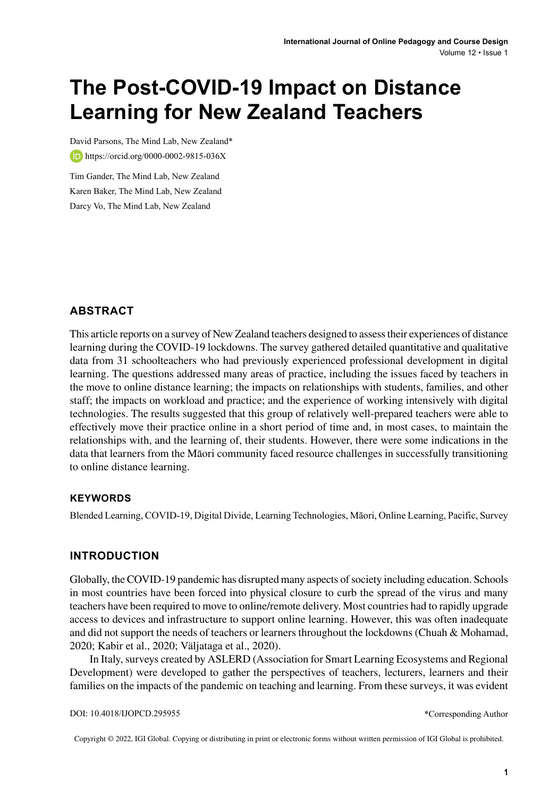# **The Post-COVID-19 Impact on Distance Learning for New Zealand Teachers**

David Parsons, The Mind Lab, New Zealand\* **b**<https://orcid.org/0000-0002-9815-036X>

Tim Gander, The Mind Lab, New Zealand Karen Baker, The Mind Lab, New Zealand Darcy Vo, The Mind Lab, New Zealand

### **ABSTRACT**

This article reports on a survey of New Zealand teachers designed to assesstheir experiences of distance learning during the COVID-19 lockdowns. The survey gathered detailed quantitative and qualitative data from 31 schoolteachers who had previously experienced professional development in digital learning. The questions addressed many areas of practice, including the issues faced by teachers in the move to online distance learning; the impacts on relationships with students, families, and other staff; the impacts on workload and practice; and the experience of working intensively with digital technologies. The results suggested that this group of relatively well-prepared teachers were able to effectively move their practice online in a short period of time and, in most cases, to maintain the relationships with, and the learning of, their students. However, there were some indications in the data that learners from the Māori community faced resource challenges in successfully transitioning to online distance learning.

#### **Keywords**

Blended Learning, COVID-19, Digital Divide, Learning Technologies, Māori, Online Learning, Pacific, Survey

### **INTRODUCTION**

Globally, the COVID-19 pandemic has disrupted many aspects of society including education. Schools in most countries have been forced into physical closure to curb the spread of the virus and many teachers have been required to move to online/remote delivery. Most countries had to rapidly upgrade access to devices and infrastructure to support online learning. However, this was often inadequate and did not support the needs of teachers or learners throughout the lockdowns (Chuah & Mohamad, 2020; Kabir et al., 2020; Väljataga et al., 2020).

In Italy, surveys created by ASLERD (Association for Smart Learning Ecosystems and Regional Development) were developed to gather the perspectives of teachers, lecturers, learners and their families on the impacts of the pandemic on teaching and learning. From these surveys, it was evident

Copyright © 2022, IGI Global. Copying or distributing in print or electronic forms without written permission of IGI Global is prohibited.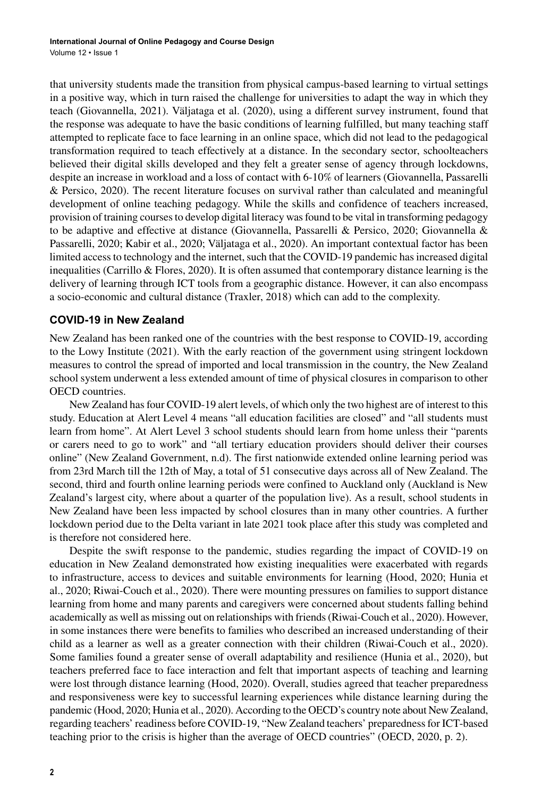that university students made the transition from physical campus-based learning to virtual settings in a positive way, which in turn raised the challenge for universities to adapt the way in which they teach (Giovannella, 2021). Väljataga et al. (2020), using a different survey instrument, found that the response was adequate to have the basic conditions of learning fulfilled, but many teaching staff attempted to replicate face to face learning in an online space, which did not lead to the pedagogical transformation required to teach effectively at a distance. In the secondary sector, schoolteachers believed their digital skills developed and they felt a greater sense of agency through lockdowns, despite an increase in workload and a loss of contact with 6-10% of learners (Giovannella, Passarelli & Persico, 2020). The recent literature focuses on survival rather than calculated and meaningful development of online teaching pedagogy. While the skills and confidence of teachers increased, provision of training coursesto develop digital literacy wasfound to be vital in transforming pedagogy to be adaptive and effective at distance (Giovannella, Passarelli & Persico, 2020; Giovannella & Passarelli, 2020; Kabir et al., 2020; Väljataga et al., 2020). An important contextual factor has been limited access to technology and the internet, such that the COVID-19 pandemic has increased digital inequalities (Carrillo & Flores, 2020). It is often assumed that contemporary distance learning is the delivery of learning through ICT tools from a geographic distance. However, it can also encompass a socio-economic and cultural distance (Traxler, 2018) which can add to the complexity.

#### **COVID-19 in New Zealand**

New Zealand has been ranked one of the countries with the best response to COVID-19, according to the Lowy Institute (2021). With the early reaction of the government using stringent lockdown measures to control the spread of imported and local transmission in the country, the New Zealand school system underwent a less extended amount of time of physical closures in comparison to other OECD countries.

New Zealand hasfour COVID-19 alert levels, of which only the two highest are of interest to this study. Education at Alert Level 4 means "all education facilities are closed" and "all students must learn from home". At Alert Level 3 school students should learn from home unless their "parents or carers need to go to work" and "all tertiary education providers should deliver their courses online" (New Zealand Government, n.d). The first nationwide extended online learning period was from 23rd March till the 12th of May, a total of 51 consecutive days across all of New Zealand. The second, third and fourth online learning periods were confined to Auckland only (Auckland is New Zealand's largest city, where about a quarter of the population live). As a result, school students in New Zealand have been less impacted by school closures than in many other countries. A further lockdown period due to the Delta variant in late 2021 took place after this study was completed and is therefore not considered here.

Despite the swift response to the pandemic, studies regarding the impact of COVID-19 on education in New Zealand demonstrated how existing inequalities were exacerbated with regards to infrastructure, access to devices and suitable environments for learning (Hood, 2020; Hunia et al., 2020; Riwai-Couch et al., 2020). There were mounting pressures on families to support distance learning from home and many parents and caregivers were concerned about students falling behind academically as well as missing out on relationships with friends(Riwai-Couch et al., 2020). However, in some instances there were benefits to families who described an increased understanding of their child as a learner as well as a greater connection with their children (Riwai-Couch et al., 2020). Some families found a greater sense of overall adaptability and resilience (Hunia et al., 2020), but teachers preferred face to face interaction and felt that important aspects of teaching and learning were lost through distance learning (Hood, 2020). Overall, studies agreed that teacher preparedness and responsiveness were key to successful learning experiences while distance learning during the pandemic (Hood, 2020; Hunia et al., 2020). According to the OECD's country note about New Zealand, regarding teachers' readiness before COVID-19, "New Zealand teachers' preparednessfor ICT-based teaching prior to the crisis is higher than the average of OECD countries" (OECD, 2020, p. 2).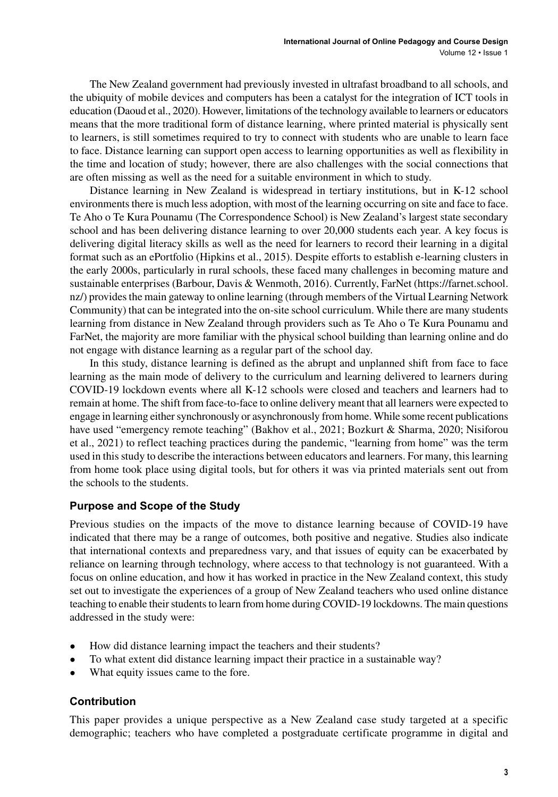The New Zealand government had previously invested in ultrafast broadband to all schools, and the ubiquity of mobile devices and computers has been a catalyst for the integration of ICT tools in education (Daoud et al., 2020). However, limitations of the technology available to learners or educators means that the more traditional form of distance learning, where printed material is physically sent to learners, is still sometimes required to try to connect with students who are unable to learn face to face. Distance learning can support open access to learning opportunities as well as flexibility in the time and location of study; however, there are also challenges with the social connections that are often missing as well as the need for a suitable environment in which to study.

Distance learning in New Zealand is widespread in tertiary institutions, but in K-12 school environments there is much less adoption, with most of the learning occurring on site and face to face. Te Aho o Te Kura Pounamu (The Correspondence School) is New Zealand's largest state secondary school and has been delivering distance learning to over 20,000 students each year. A key focus is delivering digital literacy skills as well as the need for learners to record their learning in a digital format such as an ePortfolio (Hipkins et al., 2015). Despite efforts to establish e-learning clusters in the early 2000s, particularly in rural schools, these faced many challenges in becoming mature and sustainable enterprises (Barbour, Davis & Wenmoth, 2016). Currently, FarNet [\(https://farnet.school.](https://farnet.school.nz/) [nz/](https://farnet.school.nz/)) provides the main gateway to online learning (through members of the Virtual Learning Network Community) that can be integrated into the on-site school curriculum. While there are many students learning from distance in New Zealand through providers such as Te Aho o Te Kura Pounamu and FarNet, the majority are more familiar with the physical school building than learning online and do not engage with distance learning as a regular part of the school day.

In this study, distance learning is defined as the abrupt and unplanned shift from face to face learning as the main mode of delivery to the curriculum and learning delivered to learners during COVID-19 lockdown events where all K-12 schools were closed and teachers and learners had to remain at home. The shift from face-to-face to online delivery meant that all learners were expected to engage in learning either synchronously or asynchronously from home. While some recent publications have used "emergency remote teaching" (Bakhov et al., 2021; Bozkurt & Sharma, 2020; Nisiforou et al., 2021) to reflect teaching practices during the pandemic, "learning from home" was the term used in thisstudy to describe the interactions between educators and learners. For many, thislearning from home took place using digital tools, but for others it was via printed materials sent out from the schools to the students.

### **Purpose and Scope of the Study**

Previous studies on the impacts of the move to distance learning because of COVID-19 have indicated that there may be a range of outcomes, both positive and negative. Studies also indicate that international contexts and preparedness vary, and that issues of equity can be exacerbated by reliance on learning through technology, where access to that technology is not guaranteed. With a focus on online education, and how it has worked in practice in the New Zealand context, this study set out to investigate the experiences of a group of New Zealand teachers who used online distance teaching to enable their students to learn from home during COVID-19 lockdowns. The main questions addressed in the study were:

- How did distance learning impact the teachers and their students?
- To what extent did distance learning impact their practice in a sustainable way?
- What equity issues came to the fore.

#### **Contribution**

This paper provides a unique perspective as a New Zealand case study targeted at a specific demographic; teachers who have completed a postgraduate certificate programme in digital and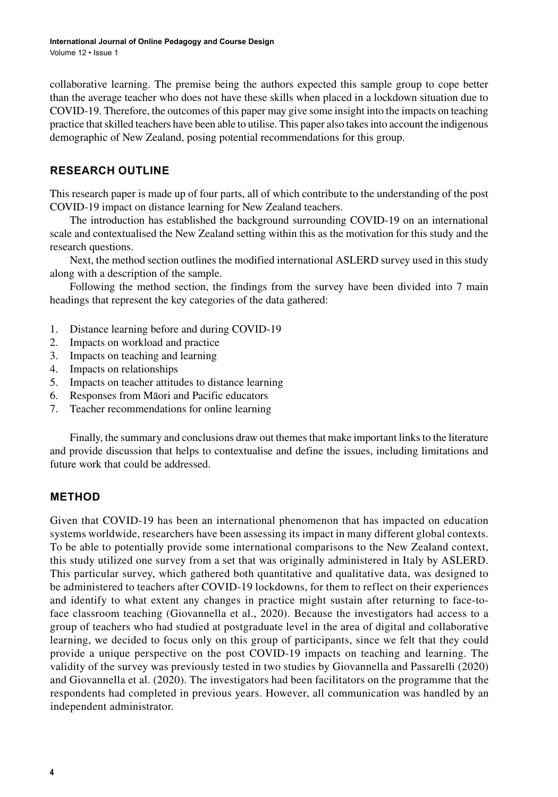collaborative learning. The premise being the authors expected this sample group to cope better than the average teacher who does not have these skills when placed in a lockdown situation due to COVID-19. Therefore, the outcomes of this paper may give some insight into the impacts on teaching practice thatskilled teachers have been able to utilise. This paper also takesinto account the indigenous demographic of New Zealand, posing potential recommendations for this group.

## **RESEARCH OUTLINE**

This research paper is made up of four parts, all of which contribute to the understanding of the post COVID-19 impact on distance learning for New Zealand teachers.

The introduction has established the background surrounding COVID-19 on an international scale and contextualised the New Zealand setting within this as the motivation for this study and the research questions.

Next, the method section outlines the modified international ASLERD survey used in this study along with a description of the sample.

Following the method section, the findings from the survey have been divided into 7 main headings that represent the key categories of the data gathered:

- 1. Distance learning before and during COVID-19
- 2. Impacts on workload and practice
- 3. Impacts on teaching and learning
- 4. Impacts on relationships
- 5. Impacts on teacher attitudes to distance learning
- 6. Responses from Māori and Pacific educators
- 7. Teacher recommendations for online learning

Finally, the summary and conclusions draw out themes that make important links to the literature and provide discussion that helps to contextualise and define the issues, including limitations and future work that could be addressed.

## **METHOD**

Given that COVID-19 has been an international phenomenon that has impacted on education systems worldwide, researchers have been assessing its impact in many different global contexts. To be able to potentially provide some international comparisons to the New Zealand context, this study utilized one survey from a set that was originally administered in Italy by ASLERD. This particular survey, which gathered both quantitative and qualitative data, was designed to be administered to teachers after COVID-19 lockdowns, for them to reflect on their experiences and identify to what extent any changes in practice might sustain after returning to face-toface classroom teaching (Giovannella et al., 2020). Because the investigators had access to a group of teachers who had studied at postgraduate level in the area of digital and collaborative learning, we decided to focus only on this group of participants, since we felt that they could provide a unique perspective on the post COVID-19 impacts on teaching and learning. The validity of the survey was previously tested in two studies by Giovannella and Passarelli (2020) and Giovannella et al. (2020). The investigators had been facilitators on the programme that the respondents had completed in previous years. However, all communication was handled by an independent administrator.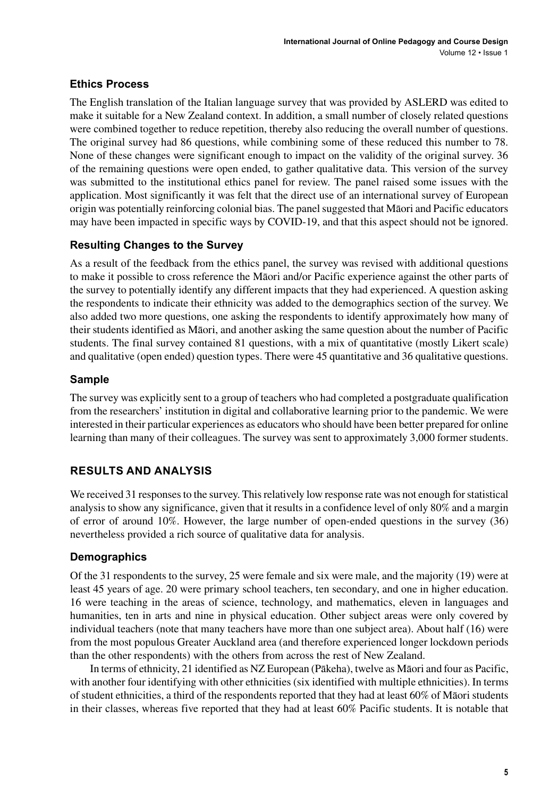## **Ethics Process**

The English translation of the Italian language survey that was provided by ASLERD was edited to make it suitable for a New Zealand context. In addition, a small number of closely related questions were combined together to reduce repetition, thereby also reducing the overall number of questions. The original survey had 86 questions, while combining some of these reduced this number to 78. None of these changes were significant enough to impact on the validity of the original survey. 36 of the remaining questions were open ended, to gather qualitative data. This version of the survey was submitted to the institutional ethics panel for review. The panel raised some issues with the application. Most significantly it was felt that the direct use of an international survey of European origin was potentially reinforcing colonial bias. The panel suggested that Māori and Pacific educators may have been impacted in specific ways by COVID-19, and that this aspect should not be ignored.

## **Resulting Changes to the Survey**

As a result of the feedback from the ethics panel, the survey was revised with additional questions to make it possible to cross reference the Māori and/or Pacific experience against the other parts of the survey to potentially identify any different impacts that they had experienced. A question asking the respondents to indicate their ethnicity was added to the demographics section of the survey. We also added two more questions, one asking the respondents to identify approximately how many of their students identified as Māori, and another asking the same question about the number of Pacific students. The final survey contained 81 questions, with a mix of quantitative (mostly Likert scale) and qualitative (open ended) question types. There were 45 quantitative and 36 qualitative questions.

## **Sample**

The survey was explicitly sent to a group of teachers who had completed a postgraduate qualification from the researchers' institution in digital and collaborative learning prior to the pandemic. We were interested in their particular experiences as educators who should have been better prepared for online learning than many of their colleagues. The survey was sent to approximately 3,000 former students.

# **RESULTS AND ANALYSIS**

We received 31 responses to the survey. This relatively low response rate was not enough for statistical analysis to show any significance, given that it results in a confidence level of only 80% and a margin of error of around 10%. However, the large number of open-ended questions in the survey (36) nevertheless provided a rich source of qualitative data for analysis.

# **Demographics**

Of the 31 respondents to the survey, 25 were female and six were male, and the majority (19) were at least 45 years of age. 20 were primary school teachers, ten secondary, and one in higher education. 16 were teaching in the areas of science, technology, and mathematics, eleven in languages and humanities, ten in arts and nine in physical education. Other subject areas were only covered by individual teachers (note that many teachers have more than one subject area). About half (16) were from the most populous Greater Auckland area (and therefore experienced longer lockdown periods than the other respondents) with the others from across the rest of New Zealand.

In terms of ethnicity, 21 identified as NZ European (Pākeha), twelve as Māori and four as Pacific, with another four identifying with other ethnicities (six identified with multiple ethnicities). In terms of student ethnicities, a third of the respondents reported that they had at least 60% of Māori students in their classes, whereas five reported that they had at least 60% Pacific students. It is notable that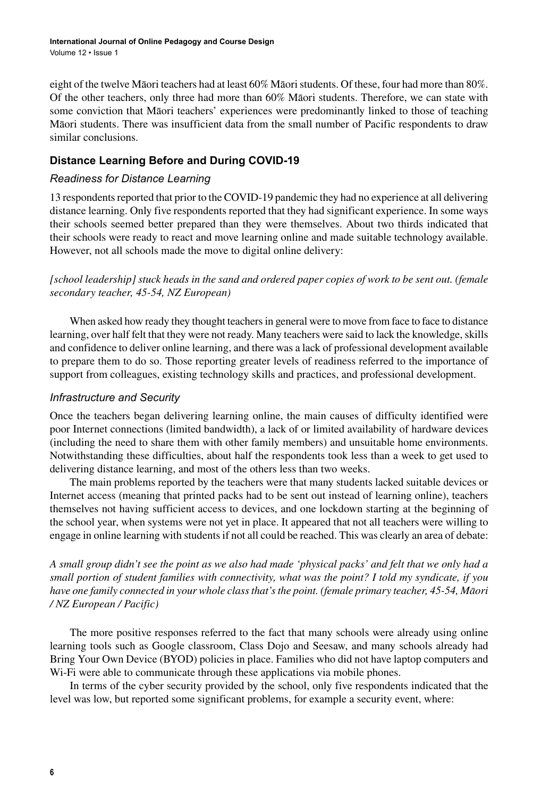eight of the twelve Māori teachers had at least 60% Māoristudents. Of these, four had more than 80%. Of the other teachers, only three had more than 60% Māori students. Therefore, we can state with some conviction that Māori teachers' experiences were predominantly linked to those of teaching Māori students. There was insufficient data from the small number of Pacific respondents to draw similar conclusions.

## **Distance Learning Before and During COVID-19**

### *Readiness for Distance Learning*

13 respondents reported that prior to the COVID-19 pandemic they had no experience at all delivering distance learning. Only five respondents reported that they had significant experience. In some ways their schools seemed better prepared than they were themselves. About two thirds indicated that their schools were ready to react and move learning online and made suitable technology available. However, not all schools made the move to digital online delivery:

*[school leadership] stuck heads in the sand and ordered paper copies of work to be sent out. (female secondary teacher, 45-54, NZ European)*

When asked how ready they thought teachers in general were to move from face to face to distance learning, over half felt that they were not ready. Many teachers were said to lack the knowledge, skills and confidence to deliver online learning, and there was a lack of professional development available to prepare them to do so. Those reporting greater levels of readiness referred to the importance of support from colleagues, existing technology skills and practices, and professional development.

#### *Infrastructure and Security*

Once the teachers began delivering learning online, the main causes of difficulty identified were poor Internet connections (limited bandwidth), a lack of or limited availability of hardware devices (including the need to share them with other family members) and unsuitable home environments. Notwithstanding these difficulties, about half the respondents took less than a week to get used to delivering distance learning, and most of the others less than two weeks.

The main problems reported by the teachers were that many students lacked suitable devices or Internet access (meaning that printed packs had to be sent out instead of learning online), teachers themselves not having sufficient access to devices, and one lockdown starting at the beginning of the school year, when systems were not yet in place. It appeared that not all teachers were willing to engage in online learning with studentsif not all could be reached. This was clearly an area of debate:

*A small group didn't see the point as we also had made 'physical packs' and felt that we only had a small portion of student families with connectivity, what was the point? I told my syndicate, if you have one family connected in your whole class that's the point. (female primary teacher, 45-54, Māori / NZ European / Pacific)*

The more positive responses referred to the fact that many schools were already using online learning tools such as Google classroom, Class Dojo and Seesaw, and many schools already had Bring Your Own Device (BYOD) policies in place. Families who did not have laptop computers and Wi-Fi were able to communicate through these applications via mobile phones.

In terms of the cyber security provided by the school, only five respondents indicated that the level was low, but reported some significant problems, for example a security event, where: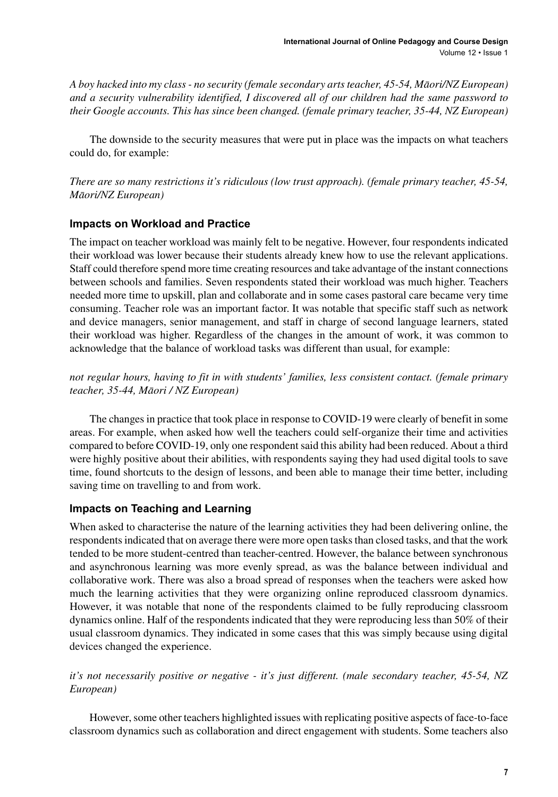*A boy hacked into my class - no security (female secondary arts teacher, 45-54, Māori/NZ European) and a security vulnerability identified, I discovered all of our children had the same password to their Google accounts. This has since been changed. (female primary teacher, 35-44, NZ European)*

The downside to the security measures that were put in place was the impacts on what teachers could do, for example:

*There are so many restrictions it's ridiculous (low trust approach). (female primary teacher, 45-54, Māori/NZ European)*

#### **Impacts on Workload and Practice**

The impact on teacher workload was mainly felt to be negative. However, four respondents indicated their workload was lower because their students already knew how to use the relevant applications. Staff could therefore spend more time creating resources and take advantage of the instant connections between schools and families. Seven respondents stated their workload was much higher. Teachers needed more time to upskill, plan and collaborate and in some cases pastoral care became very time consuming. Teacher role was an important factor. It was notable that specific staff such as network and device managers, senior management, and staff in charge of second language learners, stated their workload was higher. Regardless of the changes in the amount of work, it was common to acknowledge that the balance of workload tasks was different than usual, for example:

*not regular hours, having to fit in with students' families, less consistent contact. (female primary teacher, 35-44, Māori / NZ European)*

The changes in practice that took place in response to COVID-19 were clearly of benefit in some areas. For example, when asked how well the teachers could self-organize their time and activities compared to before COVID-19, only one respondent said this ability had been reduced. About a third were highly positive about their abilities, with respondents saying they had used digital tools to save time, found shortcuts to the design of lessons, and been able to manage their time better, including saving time on travelling to and from work.

### **Impacts on Teaching and Learning**

When asked to characterise the nature of the learning activities they had been delivering online, the respondents indicated that on average there were more open tasks than closed tasks, and that the work tended to be more student-centred than teacher-centred. However, the balance between synchronous and asynchronous learning was more evenly spread, as was the balance between individual and collaborative work. There was also a broad spread of responses when the teachers were asked how much the learning activities that they were organizing online reproduced classroom dynamics. However, it was notable that none of the respondents claimed to be fully reproducing classroom dynamics online. Half of the respondents indicated that they were reproducing less than 50% of their usual classroom dynamics. They indicated in some cases that this was simply because using digital devices changed the experience.

### *it's not necessarily positive or negative - it's just different. (male secondary teacher, 45-54, NZ European)*

However, some other teachers highlighted issues with replicating positive aspects of face-to-face classroom dynamics such as collaboration and direct engagement with students. Some teachers also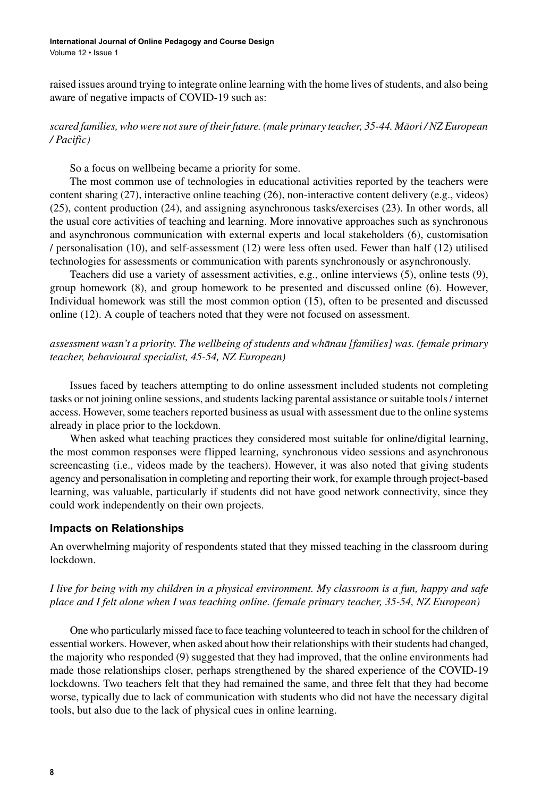#### **International Journal of Online Pedagogy and Course Design**

Volume 12 • Issue 1

raised issues around trying to integrate online learning with the home lives of students, and also being aware of negative impacts of COVID-19 such as:

### *scared families, who were not sure of their future. (male primary teacher, 35-44. Māori / NZ European / Pacific)*

So a focus on wellbeing became a priority for some.

The most common use of technologies in educational activities reported by the teachers were content sharing (27), interactive online teaching (26), non-interactive content delivery (e.g., videos) (25), content production (24), and assigning asynchronous tasks/exercises (23). In other words, all the usual core activities of teaching and learning. More innovative approaches such as synchronous and asynchronous communication with external experts and local stakeholders (6), customisation / personalisation (10), and self-assessment (12) were less often used. Fewer than half (12) utilised technologies for assessments or communication with parents synchronously or asynchronously.

Teachers did use a variety of assessment activities, e.g., online interviews (5), online tests (9), group homework (8), and group homework to be presented and discussed online (6). However, Individual homework was still the most common option (15), often to be presented and discussed online (12). A couple of teachers noted that they were not focused on assessment.

*assessment wasn't a priority. The wellbeing of students and whānau [families] was. (female primary teacher, behavioural specialist, 45-54, NZ European)*

Issues faced by teachers attempting to do online assessment included students not completing tasks or not joining online sessions, and students lacking parental assistance or suitable tools / internet access. However, some teachers reported business as usual with assessment due to the online systems already in place prior to the lockdown.

When asked what teaching practices they considered most suitable for online/digital learning, the most common responses were flipped learning, synchronous video sessions and asynchronous screencasting (i.e., videos made by the teachers). However, it was also noted that giving students agency and personalisation in completing and reporting their work, for example through project-based learning, was valuable, particularly if students did not have good network connectivity, since they could work independently on their own projects.

#### **Impacts on Relationships**

An overwhelming majority of respondents stated that they missed teaching in the classroom during lockdown.

*I live for being with my children in a physical environment. My classroom is a fun, happy and safe place and I felt alone when I was teaching online. (female primary teacher, 35-54, NZ European)*

One who particularly missed face to face teaching volunteered to teach in school for the children of essential workers. However, when asked about how their relationships with their students had changed, the majority who responded (9) suggested that they had improved, that the online environments had made those relationships closer, perhaps strengthened by the shared experience of the COVID-19 lockdowns. Two teachers felt that they had remained the same, and three felt that they had become worse, typically due to lack of communication with students who did not have the necessary digital tools, but also due to the lack of physical cues in online learning.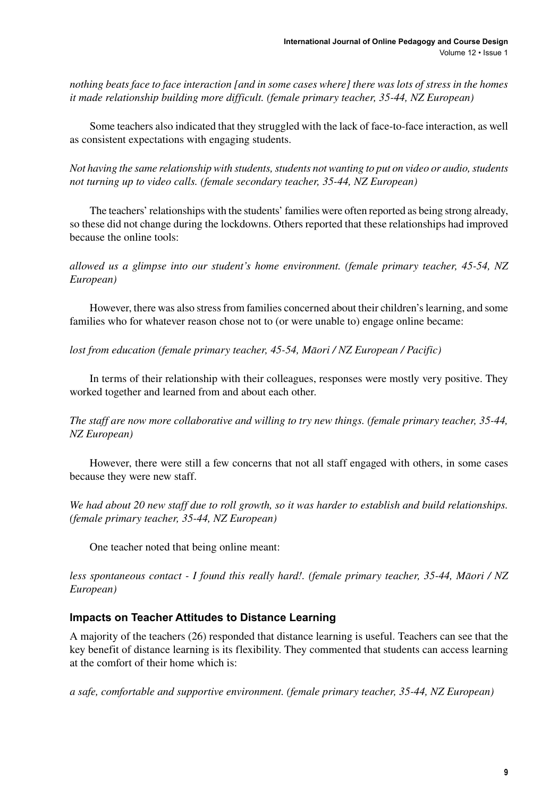*nothing beats face to face interaction [and in some cases where] there was lots of stress in the homes it made relationship building more difficult. (female primary teacher, 35-44, NZ European)*

Some teachers also indicated that they struggled with the lack of face-to-face interaction, as well as consistent expectations with engaging students.

*Not having the same relationship with students, students not wanting to put on video or audio, students not turning up to video calls. (female secondary teacher, 35-44, NZ European)*

The teachers' relationships with the students' families were often reported as being strong already, so these did not change during the lockdowns. Others reported that these relationships had improved because the online tools:

*allowed us a glimpse into our student's home environment. (female primary teacher, 45-54, NZ European)*

However, there was also stressfrom families concerned about their children'slearning, and some families who for whatever reason chose not to (or were unable to) engage online became:

*lost from education (female primary teacher, 45-54, Māori / NZ European / Pacific)*

In terms of their relationship with their colleagues, responses were mostly very positive. They worked together and learned from and about each other.

*The staff are now more collaborative and willing to try new things. (female primary teacher, 35-44, NZ European)*

However, there were still a few concerns that not all staff engaged with others, in some cases because they were new staff.

*We had about 20 new staff due to roll growth, so it was harder to establish and build relationships. (female primary teacher, 35-44, NZ European)*

One teacher noted that being online meant:

*less spontaneous contact - I found this really hard!. (female primary teacher, 35-44, Māori / NZ European)*

### **Impacts on Teacher Attitudes to Distance Learning**

A majority of the teachers (26) responded that distance learning is useful. Teachers can see that the key benefit of distance learning is its flexibility. They commented that students can access learning at the comfort of their home which is:

*a safe, comfortable and supportive environment. (female primary teacher, 35-44, NZ European)*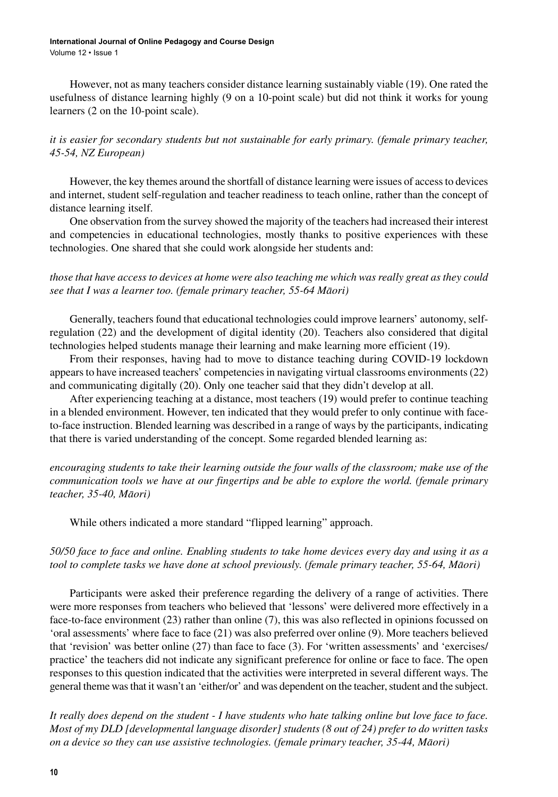#### **International Journal of Online Pedagogy and Course Design** Volume 12 • Issue 1

However, not as many teachers consider distance learning sustainably viable (19). One rated the usefulness of distance learning highly (9 on a 10-point scale) but did not think it works for young learners (2 on the 10-point scale).

*it is easier for secondary students but not sustainable for early primary. (female primary teacher, 45-54, NZ European)*

However, the key themes around the shortfall of distance learning were issues of accessto devices and internet, student self-regulation and teacher readiness to teach online, rather than the concept of distance learning itself.

One observation from the survey showed the majority of the teachers had increased their interest and competencies in educational technologies, mostly thanks to positive experiences with these technologies. One shared that she could work alongside her students and:

*those that have access to devices at home were also teaching me which was really great as they could see that I was a learner too. (female primary teacher, 55-64 Māori)*

Generally, teachers found that educational technologies could improve learners' autonomy, selfregulation (22) and the development of digital identity (20). Teachers also considered that digital technologies helped students manage their learning and make learning more efficient (19).

From their responses, having had to move to distance teaching during COVID-19 lockdown appears to have increased teachers' competencies in navigating virtual classrooms environments (22) and communicating digitally (20). Only one teacher said that they didn't develop at all.

After experiencing teaching at a distance, most teachers (19) would prefer to continue teaching in a blended environment. However, ten indicated that they would prefer to only continue with faceto-face instruction. Blended learning was described in a range of ways by the participants, indicating that there is varied understanding of the concept. Some regarded blended learning as:

*encouraging students to take their learning outside the four walls of the classroom; make use of the communication tools we have at our fingertips and be able to explore the world. (female primary teacher, 35-40, Māori)*

While others indicated a more standard "flipped learning" approach.

#### *50/50 face to face and online. Enabling students to take home devices every day and using it as a tool to complete tasks we have done at school previously. (female primary teacher, 55-64, Māori)*

Participants were asked their preference regarding the delivery of a range of activities. There were more responses from teachers who believed that 'lessons' were delivered more effectively in a face-to-face environment (23) rather than online (7), this was also reflected in opinions focussed on 'oral assessments' where face to face (21) was also preferred over online (9). More teachers believed that 'revision' was better online (27) than face to face (3). For 'written assessments' and 'exercises/ practice' the teachers did not indicate any significant preference for online or face to face. The open responses to this question indicated that the activities were interpreted in several different ways. The general theme was that it wasn't an 'either/or' and was dependent on the teacher, student and the subject.

*It really does depend on the student - I have students who hate talking online but love face to face. Most of my DLD [developmental language disorder] students (8 out of 24) prefer to do written tasks on a device so they can use assistive technologies. (female primary teacher, 35-44, Māori)*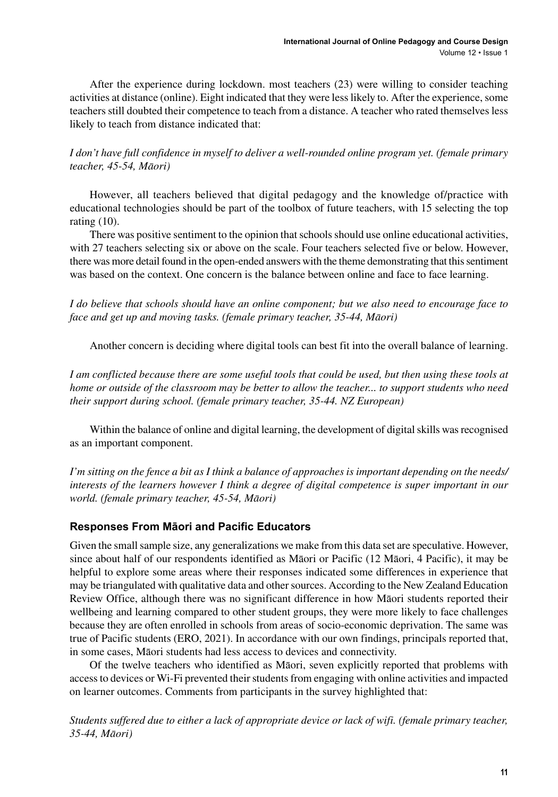After the experience during lockdown. most teachers (23) were willing to consider teaching activities at distance (online). Eight indicated that they were less likely to. After the experience, some teachers still doubted their competence to teach from a distance. A teacher who rated themselves less likely to teach from distance indicated that:

*I don't have full confidence in myself to deliver a well-rounded online program yet. (female primary teacher, 45-54, Māori)*

However, all teachers believed that digital pedagogy and the knowledge of/practice with educational technologies should be part of the toolbox of future teachers, with 15 selecting the top rating (10).

There was positive sentiment to the opinion that schools should use online educational activities, with 27 teachers selecting six or above on the scale. Four teachers selected five or below. However, there was more detail found in the open-ended answers with the theme demonstrating that this sentiment was based on the context. One concern is the balance between online and face to face learning.

*I do believe that schools should have an online component; but we also need to encourage face to face and get up and moving tasks. (female primary teacher, 35-44, Māori)*

Another concern is deciding where digital tools can best fit into the overall balance of learning.

*I am conflicted because there are some useful tools that could be used, but then using these tools at home or outside of the classroom may be better to allow the teacher... to support students who need their support during school. (female primary teacher, 35-44. NZ European)*

Within the balance of online and digital learning, the development of digital skills was recognised as an important component.

*I'm sitting on the fence a bit as I think a balance of approaches is important depending on the needs/ interests of the learners however I think a degree of digital competence is super important in our world. (female primary teacher, 45-54, Māori)*

### **Responses From Māori and Pacific Educators**

Given the small sample size, any generalizations we make from this data set are speculative. However, since about half of our respondents identified as Māori or Pacific (12 Māori, 4 Pacific), it may be helpful to explore some areas where their responses indicated some differences in experience that may be triangulated with qualitative data and othersources. According to the New Zealand Education Review Office, although there was no significant difference in how Māori students reported their wellbeing and learning compared to other student groups, they were more likely to face challenges because they are often enrolled in schools from areas of socio-economic deprivation. The same was true of Pacific students (ERO, 2021). In accordance with our own findings, principals reported that, in some cases, Māori students had less access to devices and connectivity.

Of the twelve teachers who identified as Māori, seven explicitly reported that problems with access to devices or Wi-Fi prevented their students from engaging with online activities and impacted on learner outcomes. Comments from participants in the survey highlighted that:

*Students suffered due to either a lack of appropriate device or lack of wifi. (female primary teacher, 35-44, Māori)*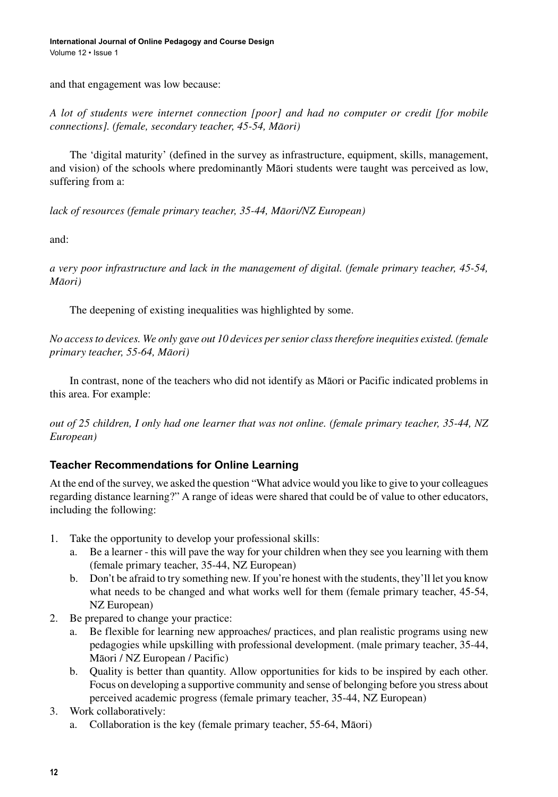and that engagement was low because:

*A lot of students were internet connection [poor] and had no computer or credit [for mobile connections]. (female, secondary teacher, 45-54, Māori)*

The 'digital maturity' (defined in the survey as infrastructure, equipment, skills, management, and vision) of the schools where predominantly Māori students were taught was perceived as low, suffering from a:

*lack of resources (female primary teacher, 35-44, Māori/NZ European)*

and:

*a very poor infrastructure and lack in the management of digital. (female primary teacher, 45-54, Māori)*

The deepening of existing inequalities was highlighted by some.

*No access to devices. We only gave out 10 devices per senior class therefore inequities existed. (female primary teacher, 55-64, Māori)*

In contrast, none of the teachers who did not identify as Māori or Pacific indicated problems in this area. For example:

*out of 25 children, I only had one learner that was not online. (female primary teacher, 35-44, NZ European)*

## **Teacher Recommendations for Online Learning**

At the end of the survey, we asked the question "What advice would you like to give to your colleagues regarding distance learning?" A range of ideas were shared that could be of value to other educators, including the following:

- 1. Take the opportunity to develop your professional skills:
	- a. Be a learner this will pave the way for your children when they see you learning with them (female primary teacher, 35-44, NZ European)
	- b. Don't be afraid to try something new. If you're honest with the students, they'll let you know what needs to be changed and what works well for them (female primary teacher, 45-54, NZ European)
- 2. Be prepared to change your practice:
	- a. Be flexible for learning new approaches/ practices, and plan realistic programs using new pedagogies while upskilling with professional development. (male primary teacher, 35-44, Māori / NZ European / Pacific)
	- b. Quality is better than quantity. Allow opportunities for kids to be inspired by each other. Focus on developing a supportive community and sense of belonging before you stress about perceived academic progress (female primary teacher, 35-44, NZ European)
- 3. Work collaboratively:
	- a. Collaboration is the key (female primary teacher, 55-64, Māori)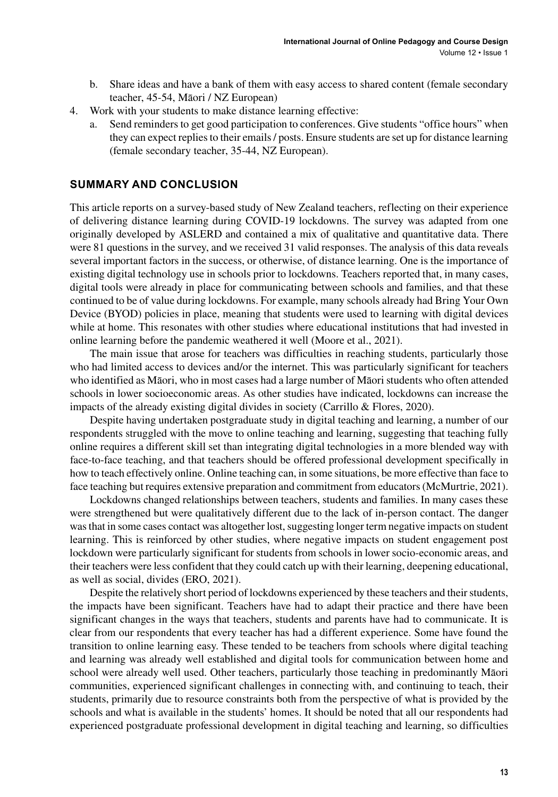- b. Share ideas and have a bank of them with easy access to shared content (female secondary teacher, 45-54, Māori / NZ European)
- 4. Work with your students to make distance learning effective:
	- Send reminders to get good participation to conferences. Give students "office hours" when they can expect replies to their emails / posts. Ensure students are set up for distance learning (female secondary teacher, 35-44, NZ European).

#### **SUMMARY AND CONCLUSION**

This article reports on a survey-based study of New Zealand teachers, reflecting on their experience of delivering distance learning during COVID-19 lockdowns. The survey was adapted from one originally developed by ASLERD and contained a mix of qualitative and quantitative data. There were 81 questions in the survey, and we received 31 valid responses. The analysis of this data reveals several important factors in the success, or otherwise, of distance learning. One is the importance of existing digital technology use in schools prior to lockdowns. Teachers reported that, in many cases, digital tools were already in place for communicating between schools and families, and that these continued to be of value during lockdowns. For example, many schools already had Bring Your Own Device (BYOD) policies in place, meaning that students were used to learning with digital devices while at home. This resonates with other studies where educational institutions that had invested in online learning before the pandemic weathered it well (Moore et al., 2021).

The main issue that arose for teachers was difficulties in reaching students, particularly those who had limited access to devices and/or the internet. This was particularly significant for teachers who identified as Māori, who in most cases had a large number of Māoristudents who often attended schools in lower socioeconomic areas. As other studies have indicated, lockdowns can increase the impacts of the already existing digital divides in society (Carrillo & Flores, 2020).

Despite having undertaken postgraduate study in digital teaching and learning, a number of our respondents struggled with the move to online teaching and learning, suggesting that teaching fully online requires a different skill set than integrating digital technologies in a more blended way with face-to-face teaching, and that teachers should be offered professional development specifically in how to teach effectively online. Online teaching can, in some situations, be more effective than face to face teaching but requires extensive preparation and commitment from educators(McMurtrie, 2021).

Lockdowns changed relationships between teachers, students and families. In many cases these were strengthened but were qualitatively different due to the lack of in-person contact. The danger was that in some cases contact was altogether lost, suggesting longer term negative impacts on student learning. This is reinforced by other studies, where negative impacts on student engagement post lockdown were particularly significant for students from schools in lower socio-economic areas, and their teachers were less confident that they could catch up with their learning, deepening educational, as well as social, divides (ERO, 2021).

Despite the relatively short period of lockdowns experienced by these teachers and their students, the impacts have been significant. Teachers have had to adapt their practice and there have been significant changes in the ways that teachers, students and parents have had to communicate. It is clear from our respondents that every teacher has had a different experience. Some have found the transition to online learning easy. These tended to be teachers from schools where digital teaching and learning was already well established and digital tools for communication between home and school were already well used. Other teachers, particularly those teaching in predominantly Māori communities, experienced significant challenges in connecting with, and continuing to teach, their students, primarily due to resource constraints both from the perspective of what is provided by the schools and what is available in the students' homes. It should be noted that all our respondents had experienced postgraduate professional development in digital teaching and learning, so difficulties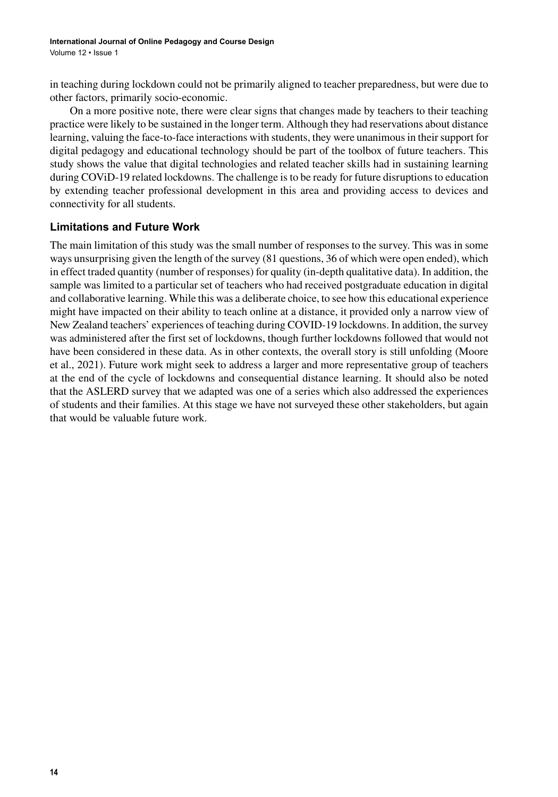in teaching during lockdown could not be primarily aligned to teacher preparedness, but were due to other factors, primarily socio-economic.

On a more positive note, there were clear signs that changes made by teachers to their teaching practice were likely to be sustained in the longer term. Although they had reservations about distance learning, valuing the face-to-face interactions with students, they were unanimousin theirsupport for digital pedagogy and educational technology should be part of the toolbox of future teachers. This study shows the value that digital technologies and related teacher skills had in sustaining learning during COViD-19 related lockdowns. The challenge is to be ready for future disruptions to education by extending teacher professional development in this area and providing access to devices and connectivity for all students.

### **Limitations and Future Work**

The main limitation of this study was the small number of responses to the survey. This was in some ways unsurprising given the length of the survey (81 questions, 36 of which were open ended), which in effect traded quantity (number of responses) for quality (in-depth qualitative data). In addition, the sample was limited to a particular set of teachers who had received postgraduate education in digital and collaborative learning. While this was a deliberate choice, to see how this educational experience might have impacted on their ability to teach online at a distance, it provided only a narrow view of New Zealand teachers' experiences of teaching during COVID-19 lockdowns. In addition, the survey was administered after the first set of lockdowns, though further lockdowns followed that would not have been considered in these data. As in other contexts, the overall story is still unfolding (Moore et al., 2021). Future work might seek to address a larger and more representative group of teachers at the end of the cycle of lockdowns and consequential distance learning. It should also be noted that the ASLERD survey that we adapted was one of a series which also addressed the experiences of students and their families. At this stage we have not surveyed these other stakeholders, but again that would be valuable future work.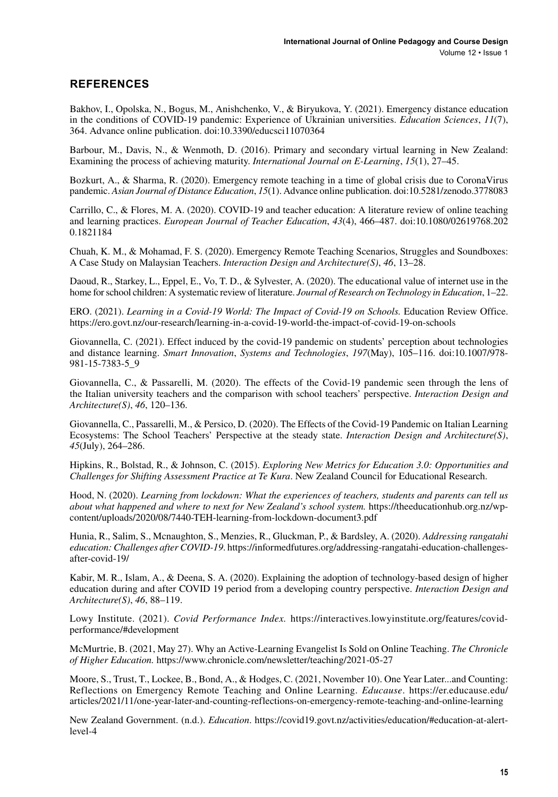## **REFERENCES**

Bakhov, I., Opolska, N., Bogus, M., Anishchenko, V., & Biryukova, Y. (2021). Emergency distance education in the conditions of COVID-19 pandemic: Experience of Ukrainian universities. *Education Sciences*, *11*(7), 364. Advance online publication. doi:[10.3390/educsci11070364](http://dx.doi.org/10.3390/educsci11070364)

Barbour, M., Davis, N., & Wenmoth, D. (2016). Primary and secondary virtual learning in New Zealand: Examining the process of achieving maturity. *International Journal on E-Learning*, *15*(1), 27–45.

Bozkurt, A., & Sharma, R. (2020). Emergency remote teaching in a time of global crisis due to CoronaVirus pandemic. *Asian Journal of Distance Education*, *15*(1). Advance online publication. doi[:10.5281/zenodo.3778083](http://dx.doi.org/10.5281/zenodo.3778083)

Carrillo, C., & Flores, M. A. (2020). COVID-19 and teacher education: A literature review of online teaching and learning practices. *European Journal of Teacher Education*, *43*(4), 466–487. doi[:10.1080/02619768.202](http://dx.doi.org/10.1080/02619768.2020.1821184) [0.1821184](http://dx.doi.org/10.1080/02619768.2020.1821184)

Chuah, K. M., & Mohamad, F. S. (2020). Emergency Remote Teaching Scenarios, Struggles and Soundboxes: A Case Study on Malaysian Teachers. *Interaction Design and Architecture(S)*, *46*, 13–28.

Daoud, R., Starkey, L., Eppel, E., Vo, T. D., & Sylvester, A. (2020). The educational value of internet use in the home for school children: A systematic review of literature. *Journal of Research on Technology in Education*, 1–22.

ERO. (2021). *Learning in a Covid-19 World: The Impact of Covid-19 on Schools.* Education Review Office. <https://ero.govt.nz/our-research/learning-in-a-covid-19-world-the-impact-of-covid-19-on-schools>

Giovannella, C. (2021). Effect induced by the covid-19 pandemic on students' perception about technologies and distance learning. *Smart Innovation*, *Systems and Technologies*, *197*(May), 105–116. doi:[10.1007/978-](http://dx.doi.org/10.1007/978-981-15-7383-5_9) [981-15-7383-5\\_9](http://dx.doi.org/10.1007/978-981-15-7383-5_9)

Giovannella, C., & Passarelli, M. (2020). The effects of the Covid-19 pandemic seen through the lens of the Italian university teachers and the comparison with school teachers' perspective. *Interaction Design and Architecture(S)*, *46*, 120–136.

Giovannella, C., Passarelli, M., & Persico, D. (2020). The Effects of the Covid-19 Pandemic on Italian Learning Ecosystems: The School Teachers' Perspective at the steady state. *Interaction Design and Architecture(S)*, *45*(July), 264–286.

Hipkins, R., Bolstad, R., & Johnson, C. (2015). *Exploring New Metrics for Education 3.0: Opportunities and Challenges for Shifting Assessment Practice at Te Kura*. New Zealand Council for Educational Research.

Hood, N. (2020). *Learning from lockdown: What the experiences of teachers, students and parents can tell us about what happened and where to next for New Zealand's school system.* [https://theeducationhub.org.nz/wp](https://theeducationhub.org.nz/wp-content/uploads/2020/08/7440-TEH-learning-from-lockdown-document3.pdf)[content/uploads/2020/08/7440-TEH-learning-from-lockdown-document3.pdf](https://theeducationhub.org.nz/wp-content/uploads/2020/08/7440-TEH-learning-from-lockdown-document3.pdf)

Hunia, R., Salim, S., Mcnaughton, S., Menzies, R., Gluckman, P., & Bardsley, A. (2020). *Addressing rangatahi education: Challenges after COVID-19*. [https://informedfutures.org/addressing-rangatahi-education-challenges](https://informedfutures.org/addressing-rangatahi-education-challenges-after-covid-19/)[after-covid-19/](https://informedfutures.org/addressing-rangatahi-education-challenges-after-covid-19/)

Kabir, M. R., Islam, A., & Deena, S. A. (2020). Explaining the adoption of technology-based design of higher education during and after COVID 19 period from a developing country perspective. *Interaction Design and Architecture(S)*, *46*, 88–119.

Lowy Institute. (2021). *Covid Performance Index.* [https://interactives.lowyinstitute.org/features/covid](https://interactives.lowyinstitute.org/features/covid-performance/#development)[performance/#development](https://interactives.lowyinstitute.org/features/covid-performance/#development)

McMurtrie, B. (2021, May 27). Why an Active-Learning Evangelist Is Sold on Online Teaching. *The Chronicle of Higher Education.* <https://www.chronicle.com/newsletter/teaching/2021-05-27>

Moore, S., Trust, T., Lockee, B., Bond, A., & Hodges, C. (2021, November 10). One Year Later...and Counting: Reflections on Emergency Remote Teaching and Online Learning. *Educause*. [https://er.educause.edu/](https://er.educause.edu/articles/2021/11/one-year-later-and-counting-reflections-on-emergency-remote-teaching-and-online-learning) [articles/2021/11/one-year-later-and-counting-reflections-on-emergency-remote-teaching-and-online-learning](https://er.educause.edu/articles/2021/11/one-year-later-and-counting-reflections-on-emergency-remote-teaching-and-online-learning)

New Zealand Government. (n.d.). *Education*. [https://covid19.govt.nz/activities/education/#education-at-alert](https://covid19.govt.nz/activities/education/#education-at-alert-level-4)[level-4](https://covid19.govt.nz/activities/education/#education-at-alert-level-4)